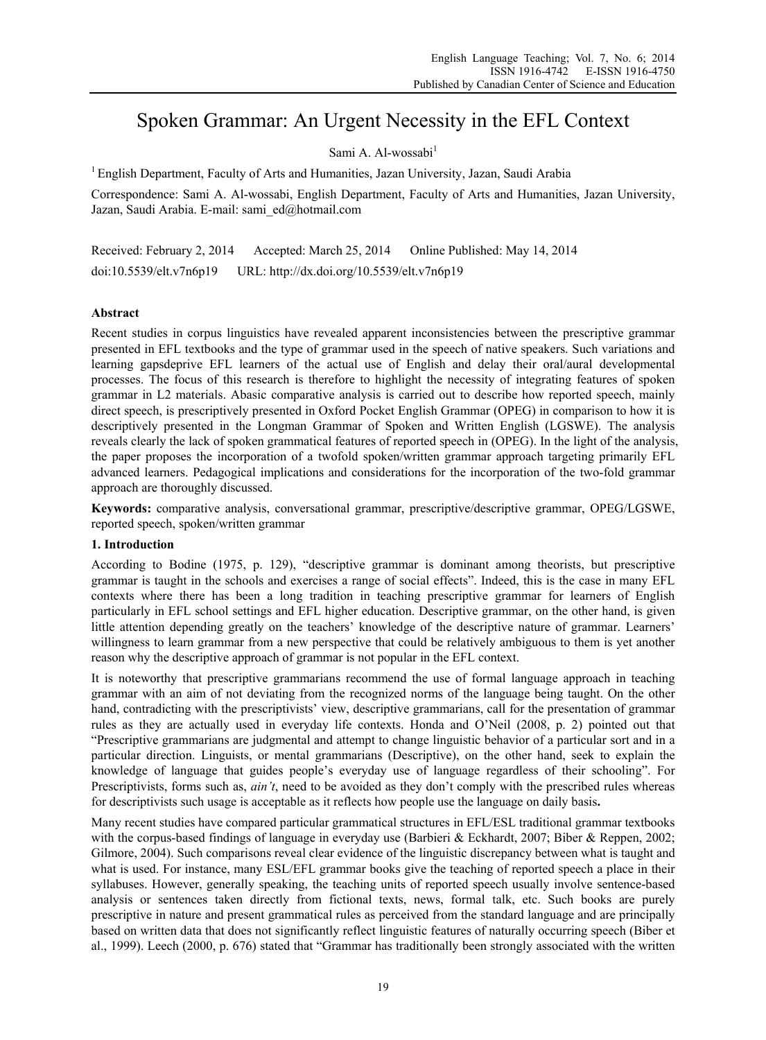# Spoken Grammar: An Urgent Necessity in the EFL Context

# Sami A. Al-wossabi<sup>1</sup>

1 English Department, Faculty of Arts and Humanities, Jazan University, Jazan, Saudi Arabia

Correspondence: Sami A. Al-wossabi, English Department, Faculty of Arts and Humanities, Jazan University, Jazan, Saudi Arabia. E-mail: sami\_ed@hotmail.com

Received: February 2, 2014 Accepted: March 25, 2014 Online Published: May 14, 2014 doi:10.5539/elt.v7n6p19 URL: http://dx.doi.org/10.5539/elt.v7n6p19

# **Abstract**

Recent studies in corpus linguistics have revealed apparent inconsistencies between the prescriptive grammar presented in EFL textbooks and the type of grammar used in the speech of native speakers. Such variations and learning gapsdeprive EFL learners of the actual use of English and delay their oral/aural developmental processes. The focus of this research is therefore to highlight the necessity of integrating features of spoken grammar in L2 materials. Abasic comparative analysis is carried out to describe how reported speech, mainly direct speech, is prescriptively presented in Oxford Pocket English Grammar (OPEG) in comparison to how it is descriptively presented in the Longman Grammar of Spoken and Written English (LGSWE). The analysis reveals clearly the lack of spoken grammatical features of reported speech in (OPEG). In the light of the analysis, the paper proposes the incorporation of a twofold spoken/written grammar approach targeting primarily EFL advanced learners. Pedagogical implications and considerations for the incorporation of the two-fold grammar approach are thoroughly discussed.

**Keywords:** comparative analysis, conversational grammar, prescriptive/descriptive grammar, OPEG/LGSWE, reported speech, spoken/written grammar

## **1. Introduction**

According to Bodine (1975, p. 129), "descriptive grammar is dominant among theorists, but prescriptive grammar is taught in the schools and exercises a range of social effects". Indeed, this is the case in many EFL contexts where there has been a long tradition in teaching prescriptive grammar for learners of English particularly in EFL school settings and EFL higher education. Descriptive grammar, on the other hand, is given little attention depending greatly on the teachers' knowledge of the descriptive nature of grammar. Learners' willingness to learn grammar from a new perspective that could be relatively ambiguous to them is yet another reason why the descriptive approach of grammar is not popular in the EFL context.

It is noteworthy that prescriptive grammarians recommend the use of formal language approach in teaching grammar with an aim of not deviating from the recognized norms of the language being taught. On the other hand, contradicting with the prescriptivists' view, descriptive grammarians, call for the presentation of grammar rules as they are actually used in everyday life contexts. Honda and O'Neil (2008, p. 2) pointed out that "Prescriptive grammarians are judgmental and attempt to change linguistic behavior of a particular sort and in a particular direction. Linguists, or mental grammarians (Descriptive), on the other hand, seek to explain the knowledge of language that guides people's everyday use of language regardless of their schooling". For Prescriptivists, forms such as, *ain't*, need to be avoided as they don't comply with the prescribed rules whereas for descriptivists such usage is acceptable as it reflects how people use the language on daily basis**.**

Many recent studies have compared particular grammatical structures in EFL/ESL traditional grammar textbooks with the corpus-based findings of language in everyday use (Barbieri & Eckhardt, 2007; Biber & Reppen, 2002; Gilmore, 2004). Such comparisons reveal clear evidence of the linguistic discrepancy between what is taught and what is used. For instance, many ESL/EFL grammar books give the teaching of reported speech a place in their syllabuses. However, generally speaking, the teaching units of reported speech usually involve sentence-based analysis or sentences taken directly from fictional texts, news, formal talk, etc. Such books are purely prescriptive in nature and present grammatical rules as perceived from the standard language and are principally based on written data that does not significantly reflect linguistic features of naturally occurring speech (Biber et al., 1999). Leech (2000, p. 676) stated that "Grammar has traditionally been strongly associated with the written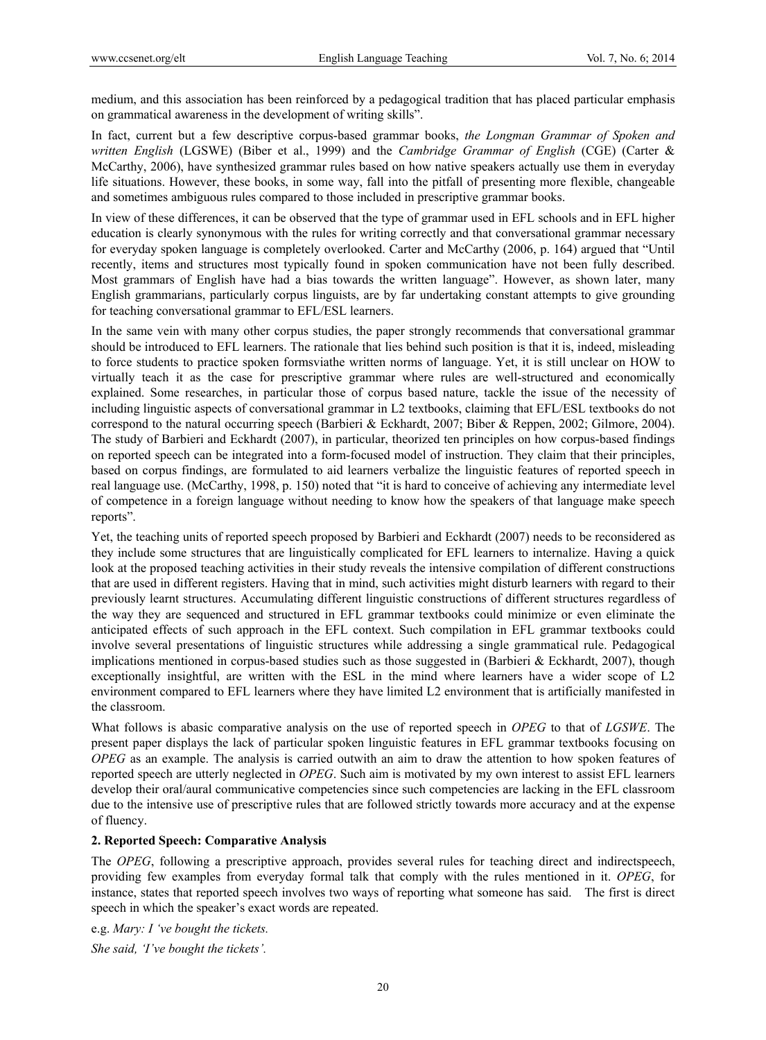medium, and this association has been reinforced by a pedagogical tradition that has placed particular emphasis on grammatical awareness in the development of writing skills".

In fact, current but a few descriptive corpus-based grammar books, *the Longman Grammar of Spoken and written English* (LGSWE) (Biber et al., 1999) and the *Cambridge Grammar of English* (CGE) (Carter & McCarthy, 2006), have synthesized grammar rules based on how native speakers actually use them in everyday life situations. However, these books, in some way, fall into the pitfall of presenting more flexible, changeable and sometimes ambiguous rules compared to those included in prescriptive grammar books.

In view of these differences, it can be observed that the type of grammar used in EFL schools and in EFL higher education is clearly synonymous with the rules for writing correctly and that conversational grammar necessary for everyday spoken language is completely overlooked. Carter and McCarthy (2006, p. 164) argued that "Until recently, items and structures most typically found in spoken communication have not been fully described. Most grammars of English have had a bias towards the written language". However, as shown later, many English grammarians, particularly corpus linguists, are by far undertaking constant attempts to give grounding for teaching conversational grammar to EFL/ESL learners.

In the same vein with many other corpus studies, the paper strongly recommends that conversational grammar should be introduced to EFL learners. The rationale that lies behind such position is that it is, indeed, misleading to force students to practice spoken formsviathe written norms of language. Yet, it is still unclear on HOW to virtually teach it as the case for prescriptive grammar where rules are well-structured and economically explained. Some researches, in particular those of corpus based nature, tackle the issue of the necessity of including linguistic aspects of conversational grammar in L2 textbooks, claiming that EFL/ESL textbooks do not correspond to the natural occurring speech (Barbieri & Eckhardt, 2007; Biber & Reppen, 2002; Gilmore, 2004). The study of Barbieri and Eckhardt (2007), in particular, theorized ten principles on how corpus-based findings on reported speech can be integrated into a form-focused model of instruction. They claim that their principles, based on corpus findings, are formulated to aid learners verbalize the linguistic features of reported speech in real language use. (McCarthy, 1998, p. 150) noted that "it is hard to conceive of achieving any intermediate level of competence in a foreign language without needing to know how the speakers of that language make speech reports".

Yet, the teaching units of reported speech proposed by Barbieri and Eckhardt (2007) needs to be reconsidered as they include some structures that are linguistically complicated for EFL learners to internalize. Having a quick look at the proposed teaching activities in their study reveals the intensive compilation of different constructions that are used in different registers. Having that in mind, such activities might disturb learners with regard to their previously learnt structures. Accumulating different linguistic constructions of different structures regardless of the way they are sequenced and structured in EFL grammar textbooks could minimize or even eliminate the anticipated effects of such approach in the EFL context. Such compilation in EFL grammar textbooks could involve several presentations of linguistic structures while addressing a single grammatical rule. Pedagogical implications mentioned in corpus-based studies such as those suggested in (Barbieri  $\&$  Eckhardt, 2007), though exceptionally insightful, are written with the ESL in the mind where learners have a wider scope of L2 environment compared to EFL learners where they have limited L2 environment that is artificially manifested in the classroom.

What follows is abasic comparative analysis on the use of reported speech in *OPEG* to that of *LGSWE*. The present paper displays the lack of particular spoken linguistic features in EFL grammar textbooks focusing on *OPEG* as an example. The analysis is carried outwith an aim to draw the attention to how spoken features of reported speech are utterly neglected in *OPEG*. Such aim is motivated by my own interest to assist EFL learners develop their oral/aural communicative competencies since such competencies are lacking in the EFL classroom due to the intensive use of prescriptive rules that are followed strictly towards more accuracy and at the expense of fluency.

## **2. Reported Speech: Comparative Analysis**

The *OPEG*, following a prescriptive approach, provides several rules for teaching direct and indirectspeech, providing few examples from everyday formal talk that comply with the rules mentioned in it. *OPEG*, for instance, states that reported speech involves two ways of reporting what someone has said. The first is direct speech in which the speaker's exact words are repeated.

e.g. *Mary: I 've bought the tickets. She said, 'I've bought the tickets'.*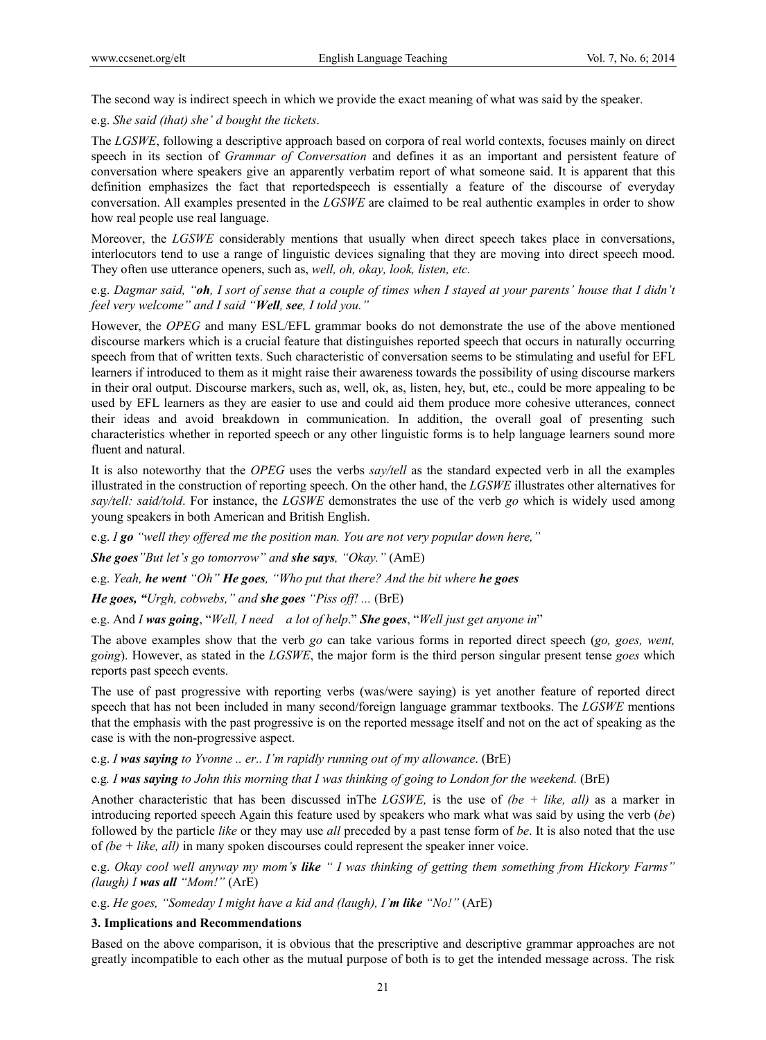The second way is indirect speech in which we provide the exact meaning of what was said by the speaker.

e.g. *She said (that) she' d bought the tickets*.

The *LGSWE*, following a descriptive approach based on corpora of real world contexts, focuses mainly on direct speech in its section of *Grammar of Conversation* and defines it as an important and persistent feature of conversation where speakers give an apparently verbatim report of what someone said. It is apparent that this definition emphasizes the fact that reportedspeech is essentially a feature of the discourse of everyday conversation. All examples presented in the *LGSWE* are claimed to be real authentic examples in order to show how real people use real language.

Moreover, the *LGSWE* considerably mentions that usually when direct speech takes place in conversations, interlocutors tend to use a range of linguistic devices signaling that they are moving into direct speech mood. They often use utterance openers, such as, *well, oh, okay, look, listen, etc.*

e.g. *Dagmar said, "oh, I sort of sense that a couple of times when I stayed at your parents' house that I didn't feel very welcome" and I said "Well, see, I told you."*

However, the *OPEG* and many ESL/EFL grammar books do not demonstrate the use of the above mentioned discourse markers which is a crucial feature that distinguishes reported speech that occurs in naturally occurring speech from that of written texts. Such characteristic of conversation seems to be stimulating and useful for EFL learners if introduced to them as it might raise their awareness towards the possibility of using discourse markers in their oral output. Discourse markers, such as, well, ok, as, listen, hey, but, etc., could be more appealing to be used by EFL learners as they are easier to use and could aid them produce more cohesive utterances, connect their ideas and avoid breakdown in communication. In addition, the overall goal of presenting such characteristics whether in reported speech or any other linguistic forms is to help language learners sound more fluent and natural.

It is also noteworthy that the *OPEG* uses the verbs *say/tell* as the standard expected verb in all the examples illustrated in the construction of reporting speech. On the other hand, the *LGSWE* illustrates other alternatives for *say/tell: said/told*. For instance, the *LGSWE* demonstrates the use of the verb *go* which is widely used among young speakers in both American and British English.

e.g. *I go "well they offered me the position man. You are not very popular down here,"* 

*She goes"But let's go tomorrow" and she says, "Okay."* (AmE)

e.g. *Yeah, he went "Oh" He goes, "Who put that there? And the bit where he goes* 

*He goes, "Urgh, cobwebs," and she goes "Piss off! ...* (BrE)

e.g. And *I was going*, "*Well, I need a lot of help*." *She goes*, "*Well just get anyone in*"

The above examples show that the verb *go* can take various forms in reported direct speech (*go, goes, went, going*). However, as stated in the *LGSWE*, the major form is the third person singular present tense *goes* which reports past speech events.

The use of past progressive with reporting verbs (was/were saying) is yet another feature of reported direct speech that has not been included in many second/foreign language grammar textbooks. The *LGSWE* mentions that the emphasis with the past progressive is on the reported message itself and not on the act of speaking as the case is with the non-progressive aspect.

e.g. *I was saying to Yvonne .. er.. I'm rapidly running out of my allowance*. (BrE)

e.g*. I was saying to John this morning that I was thinking of going to London for the weekend.* (BrE)

Another characteristic that has been discussed inThe *LGSWE,* is the use of *(be + like, all)* as a marker in introducing reported speech Again this feature used by speakers who mark what was said by using the verb (*be*) followed by the particle *like* or they may use *all* preceded by a past tense form of *be*. It is also noted that the use of *(be + like, all)* in many spoken discourses could represent the speaker inner voice.

e.g. *Okay cool well anyway my mom's like " I was thinking of getting them something from Hickory Farms" (laugh) I was all "Mom!"* (ArE)

e.g. *He goes, "Someday I might have a kid and (laugh), I'm like "No!"* (ArE)

#### **3. Implications and Recommendations**

Based on the above comparison, it is obvious that the prescriptive and descriptive grammar approaches are not greatly incompatible to each other as the mutual purpose of both is to get the intended message across. The risk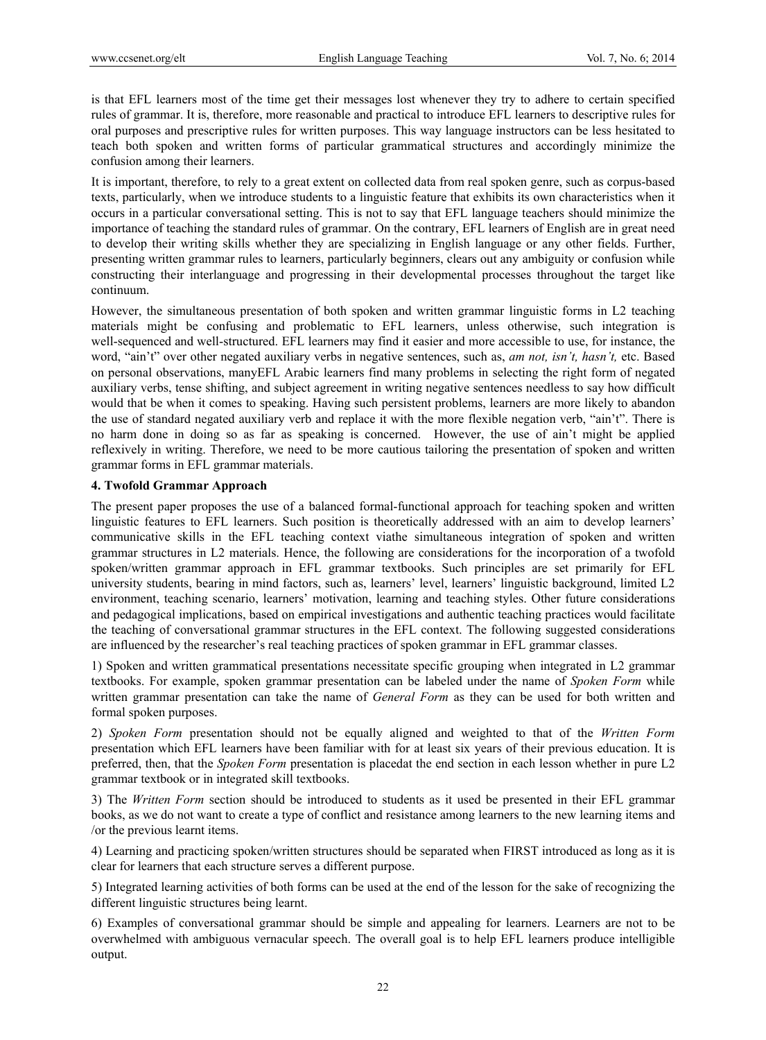is that EFL learners most of the time get their messages lost whenever they try to adhere to certain specified rules of grammar. It is, therefore, more reasonable and practical to introduce EFL learners to descriptive rules for oral purposes and prescriptive rules for written purposes. This way language instructors can be less hesitated to teach both spoken and written forms of particular grammatical structures and accordingly minimize the confusion among their learners.

It is important, therefore, to rely to a great extent on collected data from real spoken genre, such as corpus-based texts, particularly, when we introduce students to a linguistic feature that exhibits its own characteristics when it occurs in a particular conversational setting. This is not to say that EFL language teachers should minimize the importance of teaching the standard rules of grammar. On the contrary, EFL learners of English are in great need to develop their writing skills whether they are specializing in English language or any other fields. Further, presenting written grammar rules to learners, particularly beginners, clears out any ambiguity or confusion while constructing their interlanguage and progressing in their developmental processes throughout the target like continuum.

However, the simultaneous presentation of both spoken and written grammar linguistic forms in L2 teaching materials might be confusing and problematic to EFL learners, unless otherwise, such integration is well-sequenced and well-structured. EFL learners may find it easier and more accessible to use, for instance, the word, "ain't" over other negated auxiliary verbs in negative sentences, such as, *am not, isn't, hasn't,* etc. Based on personal observations, manyEFL Arabic learners find many problems in selecting the right form of negated auxiliary verbs, tense shifting, and subject agreement in writing negative sentences needless to say how difficult would that be when it comes to speaking. Having such persistent problems, learners are more likely to abandon the use of standard negated auxiliary verb and replace it with the more flexible negation verb, "ain't". There is no harm done in doing so as far as speaking is concerned. However, the use of ain't might be applied reflexively in writing. Therefore, we need to be more cautious tailoring the presentation of spoken and written grammar forms in EFL grammar materials.

## **4. Twofold Grammar Approach**

The present paper proposes the use of a balanced formal-functional approach for teaching spoken and written linguistic features to EFL learners. Such position is theoretically addressed with an aim to develop learners' communicative skills in the EFL teaching context viathe simultaneous integration of spoken and written grammar structures in L2 materials. Hence, the following are considerations for the incorporation of a twofold spoken/written grammar approach in EFL grammar textbooks. Such principles are set primarily for EFL university students, bearing in mind factors, such as, learners' level, learners' linguistic background, limited L2 environment, teaching scenario, learners' motivation, learning and teaching styles. Other future considerations and pedagogical implications, based on empirical investigations and authentic teaching practices would facilitate the teaching of conversational grammar structures in the EFL context. The following suggested considerations are influenced by the researcher's real teaching practices of spoken grammar in EFL grammar classes.

1) Spoken and written grammatical presentations necessitate specific grouping when integrated in L2 grammar textbooks. For example, spoken grammar presentation can be labeled under the name of *Spoken Form* while written grammar presentation can take the name of *General Form* as they can be used for both written and formal spoken purposes.

2) *Spoken Form* presentation should not be equally aligned and weighted to that of the *Written Form* presentation which EFL learners have been familiar with for at least six years of their previous education. It is preferred, then, that the *Spoken Form* presentation is placedat the end section in each lesson whether in pure L2 grammar textbook or in integrated skill textbooks.

3) The *Written Form* section should be introduced to students as it used be presented in their EFL grammar books, as we do not want to create a type of conflict and resistance among learners to the new learning items and /or the previous learnt items.

4) Learning and practicing spoken/written structures should be separated when FIRST introduced as long as it is clear for learners that each structure serves a different purpose.

5) Integrated learning activities of both forms can be used at the end of the lesson for the sake of recognizing the different linguistic structures being learnt.

6) Examples of conversational grammar should be simple and appealing for learners. Learners are not to be overwhelmed with ambiguous vernacular speech. The overall goal is to help EFL learners produce intelligible output.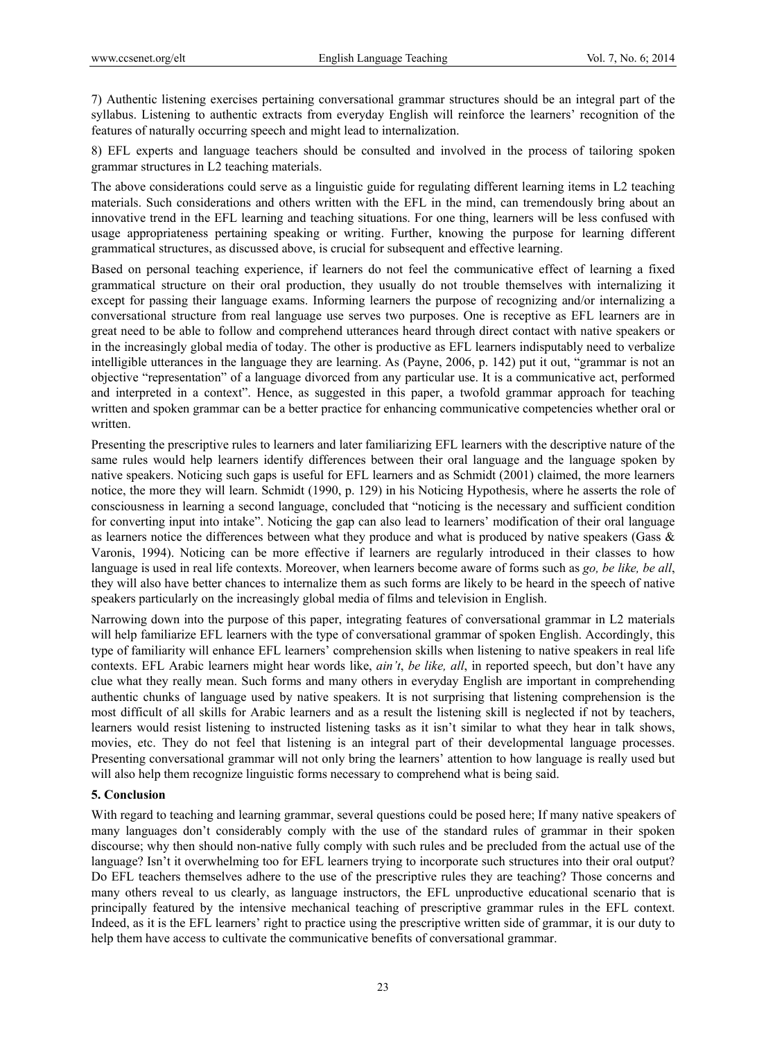7) Authentic listening exercises pertaining conversational grammar structures should be an integral part of the syllabus. Listening to authentic extracts from everyday English will reinforce the learners' recognition of the features of naturally occurring speech and might lead to internalization.

8) EFL experts and language teachers should be consulted and involved in the process of tailoring spoken grammar structures in L2 teaching materials.

The above considerations could serve as a linguistic guide for regulating different learning items in L2 teaching materials. Such considerations and others written with the EFL in the mind, can tremendously bring about an innovative trend in the EFL learning and teaching situations. For one thing, learners will be less confused with usage appropriateness pertaining speaking or writing. Further, knowing the purpose for learning different grammatical structures, as discussed above, is crucial for subsequent and effective learning.

Based on personal teaching experience, if learners do not feel the communicative effect of learning a fixed grammatical structure on their oral production, they usually do not trouble themselves with internalizing it except for passing their language exams. Informing learners the purpose of recognizing and/or internalizing a conversational structure from real language use serves two purposes. One is receptive as EFL learners are in great need to be able to follow and comprehend utterances heard through direct contact with native speakers or in the increasingly global media of today. The other is productive as EFL learners indisputably need to verbalize intelligible utterances in the language they are learning. As (Payne, 2006, p. 142) put it out, "grammar is not an objective "representation" of a language divorced from any particular use. It is a communicative act, performed and interpreted in a context". Hence, as suggested in this paper, a twofold grammar approach for teaching written and spoken grammar can be a better practice for enhancing communicative competencies whether oral or written.

Presenting the prescriptive rules to learners and later familiarizing EFL learners with the descriptive nature of the same rules would help learners identify differences between their oral language and the language spoken by native speakers. Noticing such gaps is useful for EFL learners and as Schmidt (2001) claimed, the more learners notice, the more they will learn. Schmidt (1990, p. 129) in his Noticing Hypothesis, where he asserts the role of consciousness in learning a second language, concluded that "noticing is the necessary and sufficient condition for converting input into intake". Noticing the gap can also lead to learners' modification of their oral language as learners notice the differences between what they produce and what is produced by native speakers (Gass & Varonis, 1994). Noticing can be more effective if learners are regularly introduced in their classes to how language is used in real life contexts. Moreover, when learners become aware of forms such as *go, be like, be all*, they will also have better chances to internalize them as such forms are likely to be heard in the speech of native speakers particularly on the increasingly global media of films and television in English.

Narrowing down into the purpose of this paper, integrating features of conversational grammar in L2 materials will help familiarize EFL learners with the type of conversational grammar of spoken English. Accordingly, this type of familiarity will enhance EFL learners' comprehension skills when listening to native speakers in real life contexts. EFL Arabic learners might hear words like, *ain't*, *be like, all*, in reported speech, but don't have any clue what they really mean. Such forms and many others in everyday English are important in comprehending authentic chunks of language used by native speakers. It is not surprising that listening comprehension is the most difficult of all skills for Arabic learners and as a result the listening skill is neglected if not by teachers, learners would resist listening to instructed listening tasks as it isn't similar to what they hear in talk shows, movies, etc. They do not feel that listening is an integral part of their developmental language processes. Presenting conversational grammar will not only bring the learners' attention to how language is really used but will also help them recognize linguistic forms necessary to comprehend what is being said.

## **5. Conclusion**

With regard to teaching and learning grammar, several questions could be posed here; If many native speakers of many languages don't considerably comply with the use of the standard rules of grammar in their spoken discourse; why then should non-native fully comply with such rules and be precluded from the actual use of the language? Isn't it overwhelming too for EFL learners trying to incorporate such structures into their oral output? Do EFL teachers themselves adhere to the use of the prescriptive rules they are teaching? Those concerns and many others reveal to us clearly, as language instructors, the EFL unproductive educational scenario that is principally featured by the intensive mechanical teaching of prescriptive grammar rules in the EFL context. Indeed, as it is the EFL learners' right to practice using the prescriptive written side of grammar, it is our duty to help them have access to cultivate the communicative benefits of conversational grammar.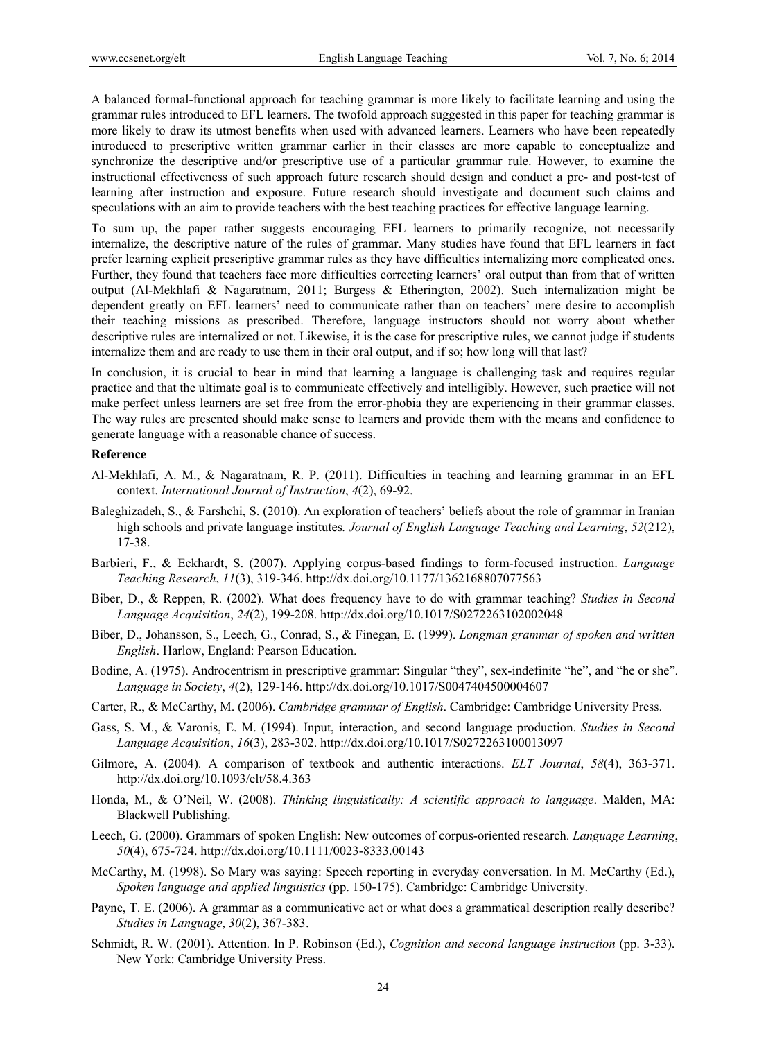A balanced formal-functional approach for teaching grammar is more likely to facilitate learning and using the grammar rules introduced to EFL learners. The twofold approach suggested in this paper for teaching grammar is more likely to draw its utmost benefits when used with advanced learners. Learners who have been repeatedly introduced to prescriptive written grammar earlier in their classes are more capable to conceptualize and synchronize the descriptive and/or prescriptive use of a particular grammar rule. However, to examine the instructional effectiveness of such approach future research should design and conduct a pre- and post-test of learning after instruction and exposure. Future research should investigate and document such claims and speculations with an aim to provide teachers with the best teaching practices for effective language learning.

To sum up, the paper rather suggests encouraging EFL learners to primarily recognize, not necessarily internalize, the descriptive nature of the rules of grammar. Many studies have found that EFL learners in fact prefer learning explicit prescriptive grammar rules as they have difficulties internalizing more complicated ones. Further, they found that teachers face more difficulties correcting learners' oral output than from that of written output (Al-Mekhlafi & Nagaratnam, 2011; Burgess & Etherington, 2002). Such internalization might be dependent greatly on EFL learners' need to communicate rather than on teachers' mere desire to accomplish their teaching missions as prescribed. Therefore, language instructors should not worry about whether descriptive rules are internalized or not. Likewise, it is the case for prescriptive rules, we cannot judge if students internalize them and are ready to use them in their oral output, and if so; how long will that last?

In conclusion, it is crucial to bear in mind that learning a language is challenging task and requires regular practice and that the ultimate goal is to communicate effectively and intelligibly. However, such practice will not make perfect unless learners are set free from the error-phobia they are experiencing in their grammar classes. The way rules are presented should make sense to learners and provide them with the means and confidence to generate language with a reasonable chance of success.

#### **Reference**

- Al-Mekhlafi, A. M., & Nagaratnam, R. P. (2011). Difficulties in teaching and learning grammar in an EFL context. *International Journal of Instruction*, *4*(2), 69-92.
- Baleghizadeh, S., & Farshchi, S. (2010). An exploration of teachers' beliefs about the role of grammar in Iranian high schools and private language institutes*. Journal of English Language Teaching and Learning*, *52*(212), 17-38.
- Barbieri, F., & Eckhardt, S. (2007). Applying corpus-based findings to form-focused instruction. *Language Teaching Research*, *11*(3), 319-346. http://dx.doi.org/10.1177/1362168807077563
- Biber, D., & Reppen, R. (2002). What does frequency have to do with grammar teaching? *Studies in Second Language Acquisition*, *24*(2), 199-208. http://dx.doi.org/10.1017/S0272263102002048
- Biber, D., Johansson, S., Leech, G., Conrad, S., & Finegan, E. (1999). *Longman grammar of spoken and written English*. Harlow, England: Pearson Education.
- Bodine, A. (1975). Androcentrism in prescriptive grammar: Singular "they", sex-indefinite "he", and "he or she". *Language in Society*, *4*(2), 129-146. http://dx.doi.org/10.1017/S0047404500004607
- Carter, R., & McCarthy, M. (2006). *Cambridge grammar of English*. Cambridge: Cambridge University Press.
- Gass, S. M., & Varonis, E. M. (1994). Input, interaction, and second language production. *Studies in Second Language Acquisition*, *16*(3), 283-302. http://dx.doi.org/10.1017/S0272263100013097
- Gilmore, A. (2004). A comparison of textbook and authentic interactions. *ELT Journal*, *58*(4), 363-371. http://dx.doi.org/10.1093/elt/58.4.363
- Honda, M., & O'Neil, W. (2008). *Thinking linguistically: A scientific approach to language*. Malden, MA: Blackwell Publishing.
- Leech, G. (2000). Grammars of spoken English: New outcomes of corpus-oriented research. *Language Learning*, *50*(4), 675-724. http://dx.doi.org/10.1111/0023-8333.00143
- McCarthy, M. (1998). So Mary was saying: Speech reporting in everyday conversation. In M. McCarthy (Ed.), *Spoken language and applied linguistics* (pp. 150-175). Cambridge: Cambridge University.
- Payne, T. E. (2006). A grammar as a communicative act or what does a grammatical description really describe? *Studies in Language*, *30*(2), 367-383.
- Schmidt, R. W. (2001). Attention. In P. Robinson (Ed.), *Cognition and second language instruction* (pp. 3-33). New York: Cambridge University Press.